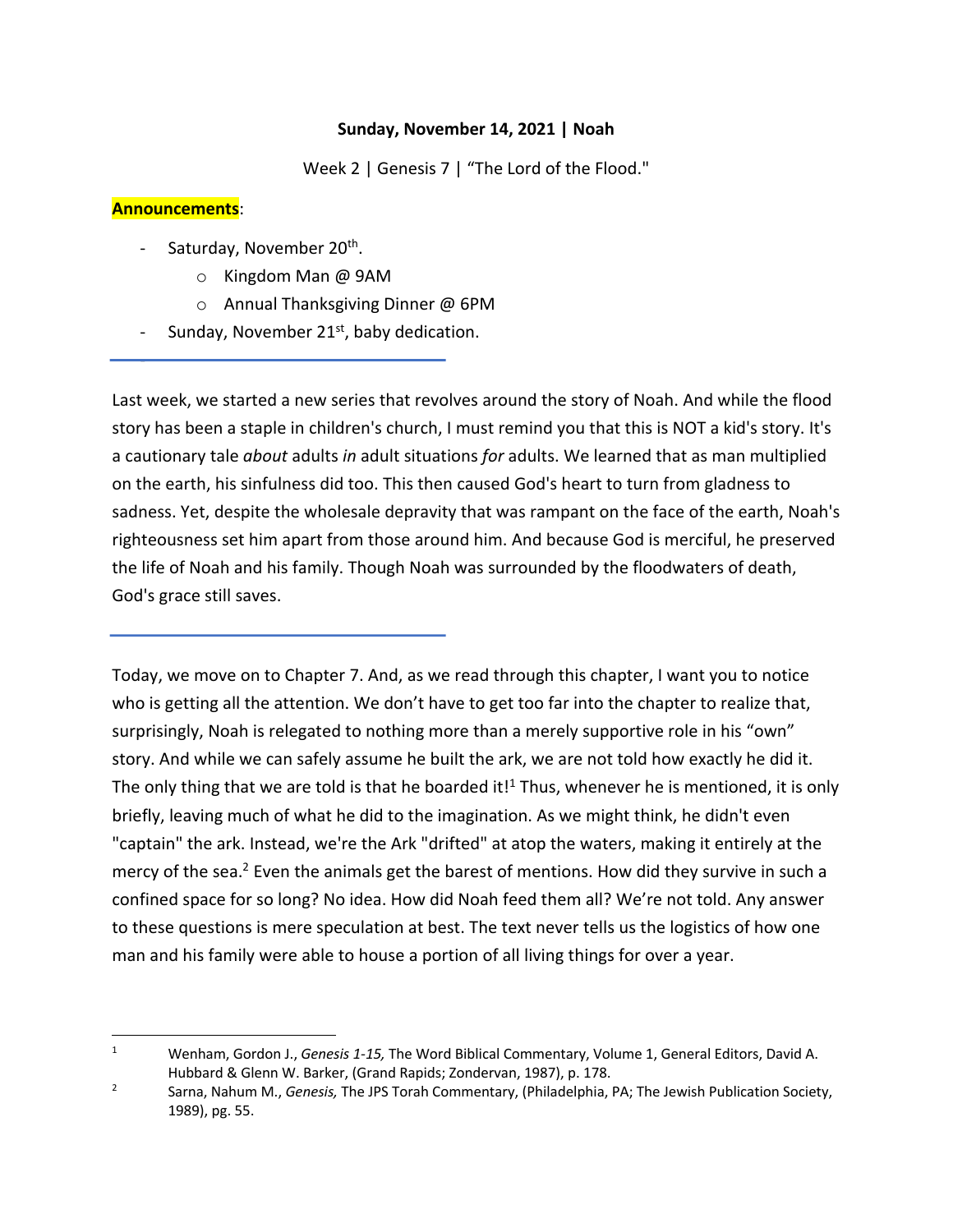## **Sunday, November 14, 2021 | Noah**

Week 2 | Genesis 7 | "The Lord of the Flood."

## **Announcements**:

-

- Saturday, November 20<sup>th</sup>.
	- o Kingdom Man @ 9AM
	- o Annual Thanksgiving Dinner @ 6PM
- Sunday, November 21<sup>st</sup>, baby dedication.

Last week, we started a new series that revolves around the story of Noah. And while the flood story has been a staple in children's church, I must remind you that this is NOT a kid's story. It's a cautionary tale *about* adults *in* adult situations *for* adults. We learned that as man multiplied on the earth, his sinfulness did too. This then caused God's heart to turn from gladness to sadness. Yet, despite the wholesale depravity that was rampant on the face of the earth, Noah's righteousness set him apart from those around him. And because God is merciful, he preserved the life of Noah and his family. Though Noah was surrounded by the floodwaters of death, God's grace still saves.

Today, we move on to Chapter 7. And, as we read through this chapter, I want you to notice who is getting all the attention. We don't have to get too far into the chapter to realize that, surprisingly, Noah is relegated to nothing more than a merely supportive role in his "own" story. And while we can safely assume he built the ark, we are not told how exactly he did it. The only thing that we are told is that he boarded it!<sup>1</sup> Thus, whenever he is mentioned, it is only briefly, leaving much of what he did to the imagination. As we might think, he didn't even "captain" the ark. Instead, we're the Ark "drifted" at atop the waters, making it entirely at the mercy of the sea.<sup>2</sup> Even the animals get the barest of mentions. How did they survive in such a confined space for so long? No idea. How did Noah feed them all? We're not told. Any answer to these questions is mere speculation at best. The text never tells us the logistics of how one man and his family were able to house a portion of all living things for over a year.

<sup>1</sup> Wenham, Gordon J., *Genesis 1-15,* The Word Biblical Commentary, Volume 1, General Editors, David A. Hubbard & Glenn W. Barker, (Grand Rapids; Zondervan, 1987), p. 178.

<sup>2</sup> Sarna, Nahum M., *Genesis,* The JPS Torah Commentary, (Philadelphia, PA; The Jewish Publication Society, 1989), pg. 55.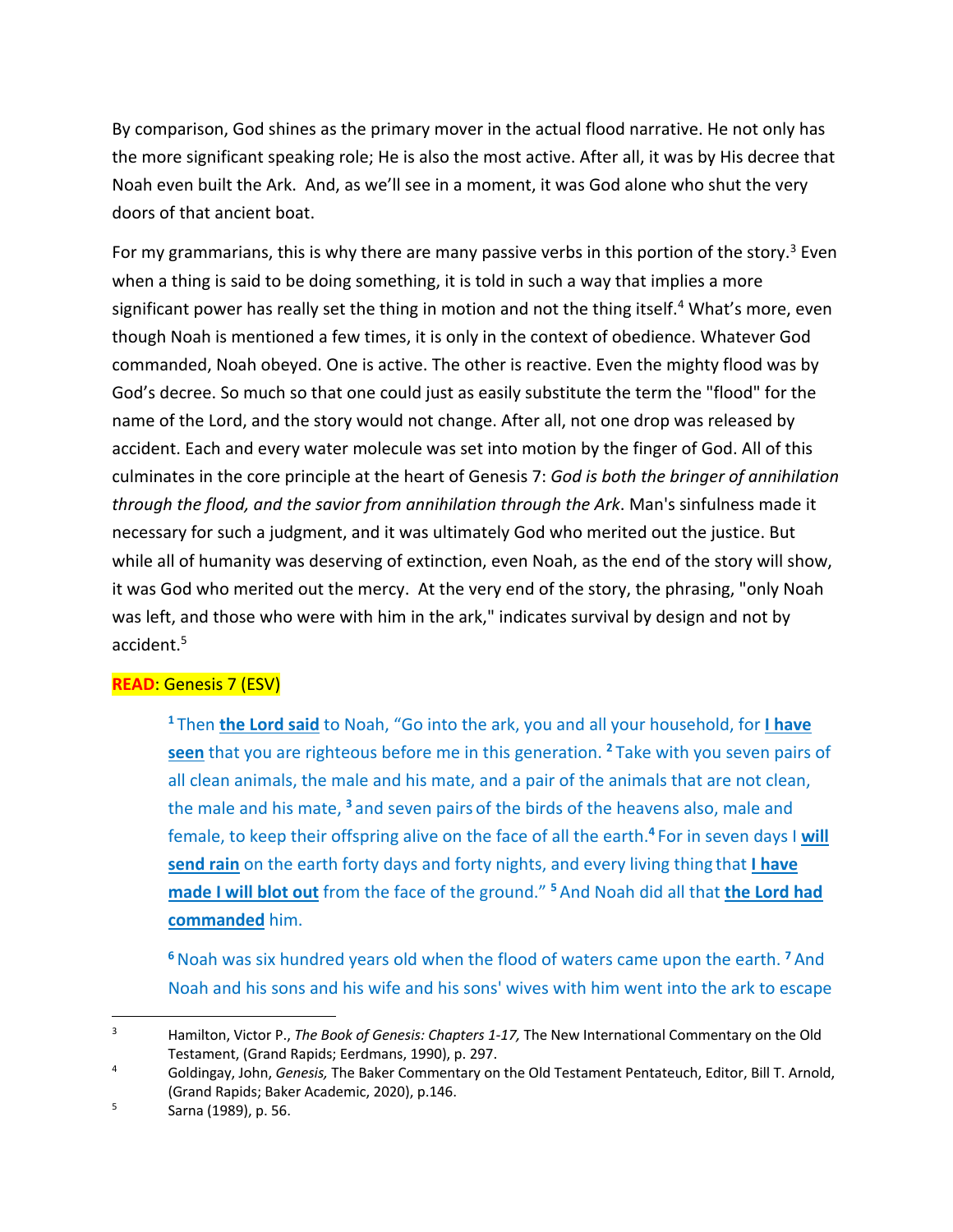By comparison, God shines as the primary mover in the actual flood narrative. He not only has the more significant speaking role; He is also the most active. After all, it was by His decree that Noah even built the Ark. And, as we'll see in a moment, it was God alone who shut the very doors of that ancient boat.

For my grammarians, this is why there are many passive verbs in this portion of the story.<sup>3</sup> Even when a thing is said to be doing something, it is told in such a way that implies a more significant power has really set the thing in motion and not the thing itself.<sup>4</sup> What's more, even though Noah is mentioned a few times, it is only in the context of obedience. Whatever God commanded, Noah obeyed. One is active. The other is reactive. Even the mighty flood was by God's decree. So much so that one could just as easily substitute the term the "flood" for the name of the Lord, and the story would not change. After all, not one drop was released by accident. Each and every water molecule was set into motion by the finger of God. All of this culminates in the core principle at the heart of Genesis 7: *God is both the bringer of annihilation through the flood, and the savior from annihilation through the Ark*. Man's sinfulness made it necessary for such a judgment, and it was ultimately God who merited out the justice. But while all of humanity was deserving of extinction, even Noah, as the end of the story will show, it was God who merited out the mercy. At the very end of the story, the phrasing, "only Noah was left, and those who were with him in the ark," indicates survival by design and not by accident.5

# **READ**: Genesis 7 (ESV)

**<sup>1</sup>**Then **the Lord said** to Noah, "Go into the ark, you and all your household, for **I have seen** that you are righteous before me in this generation. **<sup>2</sup>** Take with you seven pairs of all clean animals, the male and his mate, and a pair of the animals that are not clean, the male and his mate, **<sup>3</sup>** and seven pairs of the birds of the heavens also, male and female, to keep their offspring alive on the face of all the earth.**<sup>4</sup>** For in seven days I **will send rain** on the earth forty days and forty nights, and every living thing that **I have made I will blot out** from the face of the ground." **<sup>5</sup>** And Noah did all that **the Lord had commanded** him.

**<sup>6</sup>**Noah was six hundred years old when the flood of waters came upon the earth. **<sup>7</sup>** And Noah and his sons and his wife and his sons' wives with him went into the ark to escape

<sup>3</sup> Hamilton, Victor P., *The Book of Genesis: Chapters 1-17,* The New International Commentary on the Old Testament, (Grand Rapids; Eerdmans, 1990), p. 297.

<sup>4</sup> Goldingay, John, *Genesis,* The Baker Commentary on the Old Testament Pentateuch, Editor, Bill T. Arnold, (Grand Rapids; Baker Academic, 2020), p.146.

 $5$  Sarna (1989), p. 56.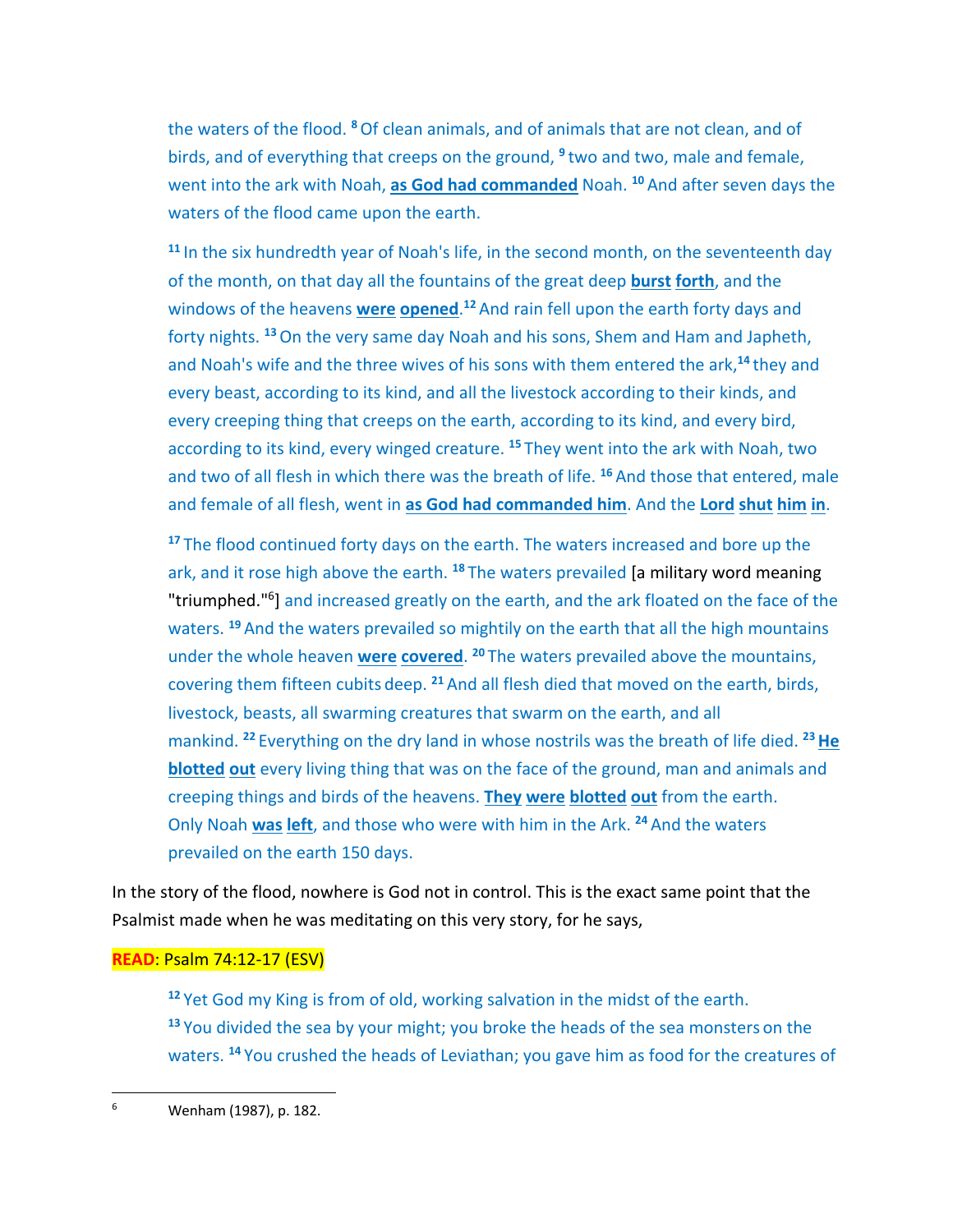the waters of the flood. **<sup>8</sup>**Of clean animals, and of animals that are not clean, and of birds, and of everything that creeps on the ground, **<sup>9</sup>** two and two, male and female, went into the ark with Noah, **as God had commanded** Noah. **<sup>10</sup>** And after seven days the waters of the flood came upon the earth.

**<sup>11</sup>** In the six hundredth year of Noah's life, in the second month, on the seventeenth day of the month, on that day all the fountains of the great deep **burst forth**, and the windows of the heavens **were opened**. **<sup>12</sup>** And rain fell upon the earth forty days and forty nights. **<sup>13</sup>**On the very same day Noah and his sons, Shem and Ham and Japheth, and Noah's wife and the three wives of his sons with them entered the ark,**<sup>14</sup>** they and every beast, according to its kind, and all the livestock according to their kinds, and every creeping thing that creeps on the earth, according to its kind, and every bird, according to its kind, every winged creature. **<sup>15</sup>** They went into the ark with Noah, two and two of all flesh in which there was the breath of life. **<sup>16</sup>** And those that entered, male and female of all flesh, went in **as God had commanded him**. And the **Lord shut him in**.

**<sup>17</sup>** The flood continued forty days on the earth. The waters increased and bore up the ark, and it rose high above the earth. **<sup>18</sup>** The waters prevailed [a military word meaning "triumphed."6] and increased greatly on the earth, and the ark floated on the face of the waters. **<sup>19</sup>** And the waters prevailed so mightily on the earth that all the high mountains under the whole heaven **were covered**. **<sup>20</sup>** The waters prevailed above the mountains, covering them fifteen cubits deep. **<sup>21</sup>** And all flesh died that moved on the earth, birds, livestock, beasts, all swarming creatures that swarm on the earth, and all mankind. <sup>22</sup> Everything on the dry land in whose nostrils was the breath of life died. <sup>23</sup> He **blotted out** every living thing that was on the face of the ground, man and animals and creeping things and birds of the heavens. **They were blotted out** from the earth. Only Noah **was left**, and those who were with him in the Ark. **<sup>24</sup>** And the waters prevailed on the earth 150 days.

In the story of the flood, nowhere is God not in control. This is the exact same point that the Psalmist made when he was meditating on this very story, for he says,

# **READ**: Psalm 74:12-17 (ESV)

**<sup>12</sup>** Yet God my King is from of old, working salvation in the midst of the earth. **<sup>13</sup>** You divided the sea by your might; you broke the heads of the sea monsters on the waters. **<sup>14</sup>** You crushed the heads of Leviathan; you gave him as food for the creatures of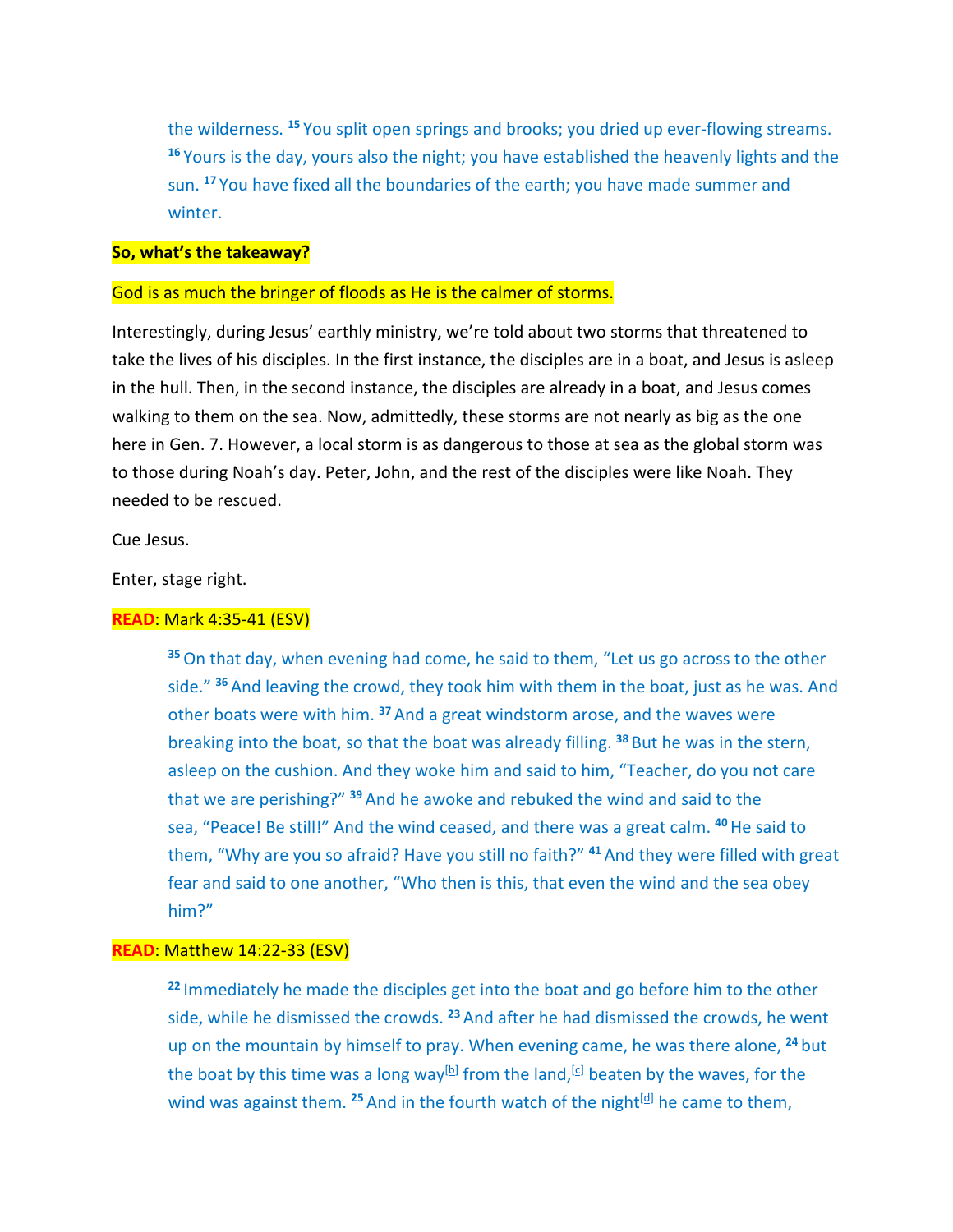the wilderness. **<sup>15</sup>** You split open springs and brooks; you dried up ever-flowing streams. **<sup>16</sup>** Yours is the day, yours also the night; you have established the heavenly lights and the sun. **<sup>17</sup>** You have fixed all the boundaries of the earth; you have made summer and winter.

#### **So, what's the takeaway?**

### God is as much the bringer of floods as He is the calmer of storms.

Interestingly, during Jesus' earthly ministry, we're told about two storms that threatened to take the lives of his disciples. In the first instance, the disciples are in a boat, and Jesus is asleep in the hull. Then, in the second instance, the disciples are already in a boat, and Jesus comes walking to them on the sea. Now, admittedly, these storms are not nearly as big as the one here in Gen. 7. However, a local storm is as dangerous to those at sea as the global storm was to those during Noah's day. Peter, John, and the rest of the disciples were like Noah. They needed to be rescued.

Cue Jesus.

Enter, stage right.

#### **READ**: Mark 4:35-41 (ESV)

**<sup>35</sup>**On that day, when evening had come, he said to them, "Let us go across to the other side." **<sup>36</sup>** And leaving the crowd, they took him with them in the boat, just as he was. And other boats were with him. **<sup>37</sup>** And a great windstorm arose, and the waves were breaking into the boat, so that the boat was already filling. **<sup>38</sup>** But he was in the stern, asleep on the cushion. And they woke him and said to him, "Teacher, do you not care that we are perishing?" **<sup>39</sup>** And he awoke and rebuked the wind and said to the sea, "Peace! Be still!" And the wind ceased, and there was a great calm. **<sup>40</sup>**He said to them, "Why are you so afraid? Have you still no faith?" **<sup>41</sup>** And they were filled with great fear and said to one another, "Who then is this, that even the wind and the sea obey him?"

## **READ**: Matthew 14:22-33 (ESV)

**<sup>22</sup>** Immediately he made the disciples get into the boat and go before him to the other side, while he dismissed the crowds. **<sup>23</sup>** And after he had dismissed the crowds, he went up on the mountain by himself to pray. When evening came, he was there alone, **<sup>24</sup>** but the boat by this time was a long way<sup>[b]</sup> from the land, <sup>[c]</sup> beaten by the waves, for the wind was against them. <sup>25</sup> And in the fourth watch of the night<sup>[d]</sup> he came to them,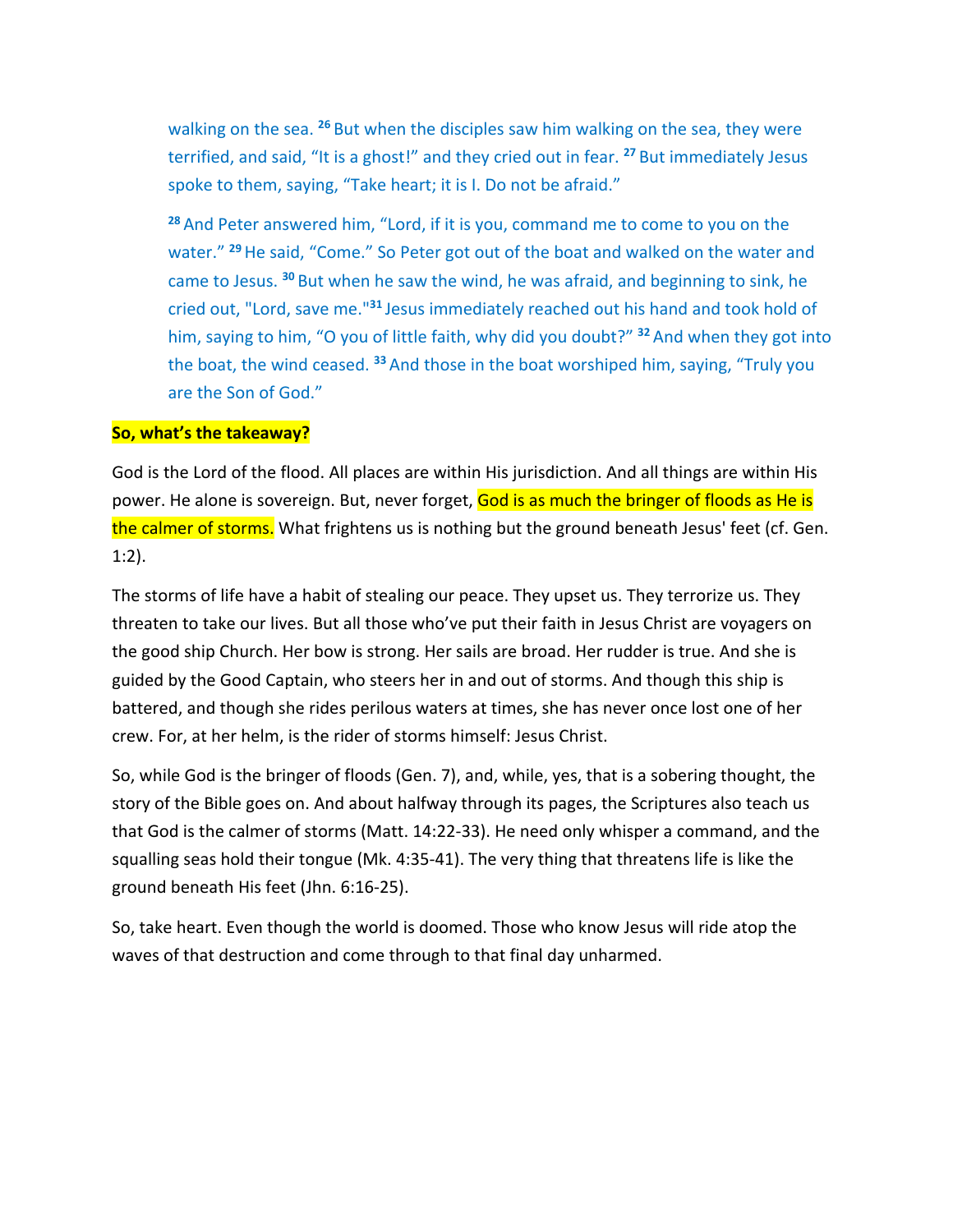walking on the sea. **<sup>26</sup>** But when the disciples saw him walking on the sea, they were terrified, and said, "It is a ghost!" and they cried out in fear. **<sup>27</sup>** But immediately Jesus spoke to them, saying, "Take heart; it is I. Do not be afraid."

**<sup>28</sup>** And Peter answered him, "Lord, if it is you, command me to come to you on the water." **<sup>29</sup>**He said, "Come." So Peter got out of the boat and walked on the water and came to Jesus. **<sup>30</sup>** But when he saw the wind, he was afraid, and beginning to sink, he cried out, "Lord, save me."**<sup>31</sup>** Jesus immediately reached out his hand and took hold of him, saying to him, "O you of little faith, why did you doubt?" **<sup>32</sup>** And when they got into the boat, the wind ceased. **<sup>33</sup>** And those in the boat worshiped him, saying, "Truly you are the Son of God."

## **So, what's the takeaway?**

God is the Lord of the flood. All places are within His jurisdiction. And all things are within His power. He alone is sovereign. But, never forget, God is as much the bringer of floods as He is the calmer of storms. What frightens us is nothing but the ground beneath Jesus' feet (cf. Gen. 1:2).

The storms of life have a habit of stealing our peace. They upset us. They terrorize us. They threaten to take our lives. But all those who've put their faith in Jesus Christ are voyagers on the good ship Church. Her bow is strong. Her sails are broad. Her rudder is true. And she is guided by the Good Captain, who steers her in and out of storms. And though this ship is battered, and though she rides perilous waters at times, she has never once lost one of her crew. For, at her helm, is the rider of storms himself: Jesus Christ.

So, while God is the bringer of floods (Gen. 7), and, while, yes, that is a sobering thought, the story of the Bible goes on. And about halfway through its pages, the Scriptures also teach us that God is the calmer of storms (Matt. 14:22-33). He need only whisper a command, and the squalling seas hold their tongue (Mk. 4:35-41). The very thing that threatens life is like the ground beneath His feet (Jhn. 6:16-25).

So, take heart. Even though the world is doomed. Those who know Jesus will ride atop the waves of that destruction and come through to that final day unharmed.